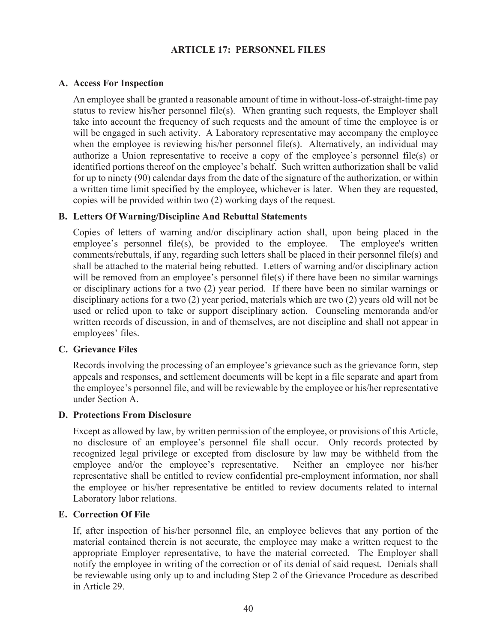## **ARTICLE 17: PERSONNEL FILES**

## **A. Access For Inspection**

An employee shall be granted a reasonable amount of time in without-loss-of-straight-time pay status to review his/her personnel file(s). When granting such requests, the Employer shall take into account the frequency of such requests and the amount of time the employee is or will be engaged in such activity. A Laboratory representative may accompany the employee when the employee is reviewing his/her personnel file(s). Alternatively, an individual may authorize a Union representative to receive a copy of the employee's personnel file(s) or identified portions thereof on the employee's behalf. Such written authorization shall be valid for up to ninety (90) calendar days from the date of the signature of the authorization, or within a written time limit specified by the employee, whichever is later. When they are requested, copies will be provided within two (2) working days of the request.

## **B. Letters Of Warning/Discipline And Rebuttal Statements**

Copies of letters of warning and/or disciplinary action shall, upon being placed in the employee's personnel file(s), be provided to the employee. The employee's written comments/rebuttals, if any, regarding such letters shall be placed in their personnel file(s) and shall be attached to the material being rebutted. Letters of warning and/or disciplinary action will be removed from an employee's personnel file(s) if there have been no similar warnings or disciplinary actions for a two (2) year period. If there have been no similar warnings or disciplinary actions for a two (2) year period, materials which are two (2) years old will not be used or relied upon to take or support disciplinary action. Counseling memoranda and/or written records of discussion, in and of themselves, are not discipline and shall not appear in employees' files.

#### **C. Grievance Files**

Records involving the processing of an employee's grievance such as the grievance form, step appeals and responses, and settlement documents will be kept in a file separate and apart from the employee's personnel file, and will be reviewable by the employee or his/her representative under Section A.

#### **D. Protections From Disclosure**

Except as allowed by law, by written permission of the employee, or provisions of this Article, no disclosure of an employee's personnel file shall occur. Only records protected by recognized legal privilege or excepted from disclosure by law may be withheld from the employee and/or the employee's representative. Neither an employee nor his/her representative shall be entitled to review confidential pre-employment information, nor shall the employee or his/her representative be entitled to review documents related to internal Laboratory labor relations.

#### **E. Correction Of File**

If, after inspection of his/her personnel file, an employee believes that any portion of the material contained therein is not accurate, the employee may make a written request to the appropriate Employer representative, to have the material corrected. The Employer shall notify the employee in writing of the correction or of its denial of said request. Denials shall be reviewable using only up to and including Step 2 of the Grievance Procedure as described in Article 29.